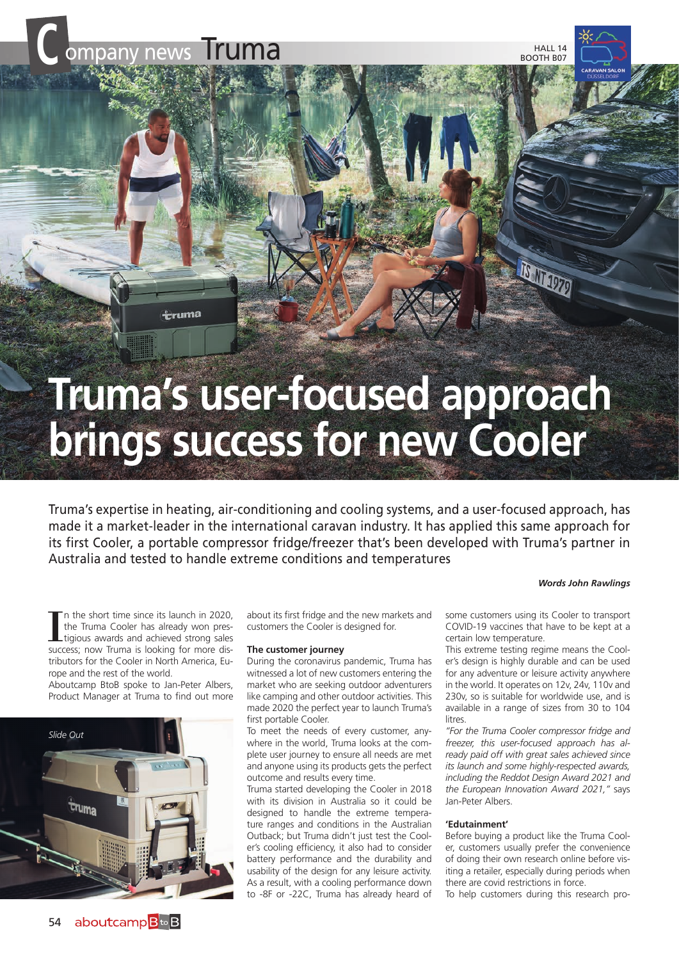**÷ruma** 

HALL 14 BOOTH B07

BULDZO

# **Truma's user-focused approach brings success for new Cooler**

Truma's expertise in heating, air-conditioning and cooling systems, and a user-focused approach, has made it a market-leader in the international caravan industry. It has applied this same approach for its first Cooler, a portable compressor fridge/freezer that's been developed with Truma's partner in Australia and tested to handle extreme conditions and temperatures

#### *Words John Rawlings*

I'm the short time since its launch in 2020, the Truma Cooler has already won prestigious awards and achieved strong sales success; now Truma is looking for more disn the short time since its launch in 2020, the Truma Cooler has already won prestigious awards and achieved strong sales tributors for the Cooler in North America, Europe and the rest of the world.

Aboutcamp BtoB spoke to Jan-Peter Albers, Product Manager at Truma to find out more



about its first fridge and the new markets and customers the Cooler is designed for.

#### **The customer journey**

During the coronavirus pandemic, Truma has witnessed a lot of new customers entering the market who are seeking outdoor adventurers like camping and other outdoor activities. This made 2020 the perfect year to launch Truma's first portable Cooler.

To meet the needs of every customer, anywhere in the world, Truma looks at the complete user journey to ensure all needs are met and anyone using its products gets the perfect outcome and results every time.

Truma started developing the Cooler in 2018 with its division in Australia so it could be designed to handle the extreme temperature ranges and conditions in the Australian Outback; but Truma didn't just test the Cooler's cooling efficiency, it also had to consider battery performance and the durability and usability of the design for any leisure activity. As a result, with a cooling performance down to -8F or -22C, Truma has already heard of

some customers using its Cooler to transport COVID-19 vaccines that have to be kept at a certain low temperature.

This extreme testing regime means the Cooler's design is highly durable and can be used for any adventure or leisure activity anywhere in the world. It operates on 12v, 24v, 110v and 230v, so is suitable for worldwide use, and is available in a range of sizes from 30 to 104 litres

*"For the Truma Cooler compressor fridge and freezer, this user-focused approach has already paid off with great sales achieved since its launch and some highly-respected awards, including the Reddot Design Award 2021 and the European Innovation Award 2021,"* says Jan-Peter Albers.

#### **'Edutainment'**

Before buying a product like the Truma Cooler, customers usually prefer the convenience of doing their own research online before visiting a retailer, especially during periods when there are covid restrictions in force.

To help customers during this research pro-